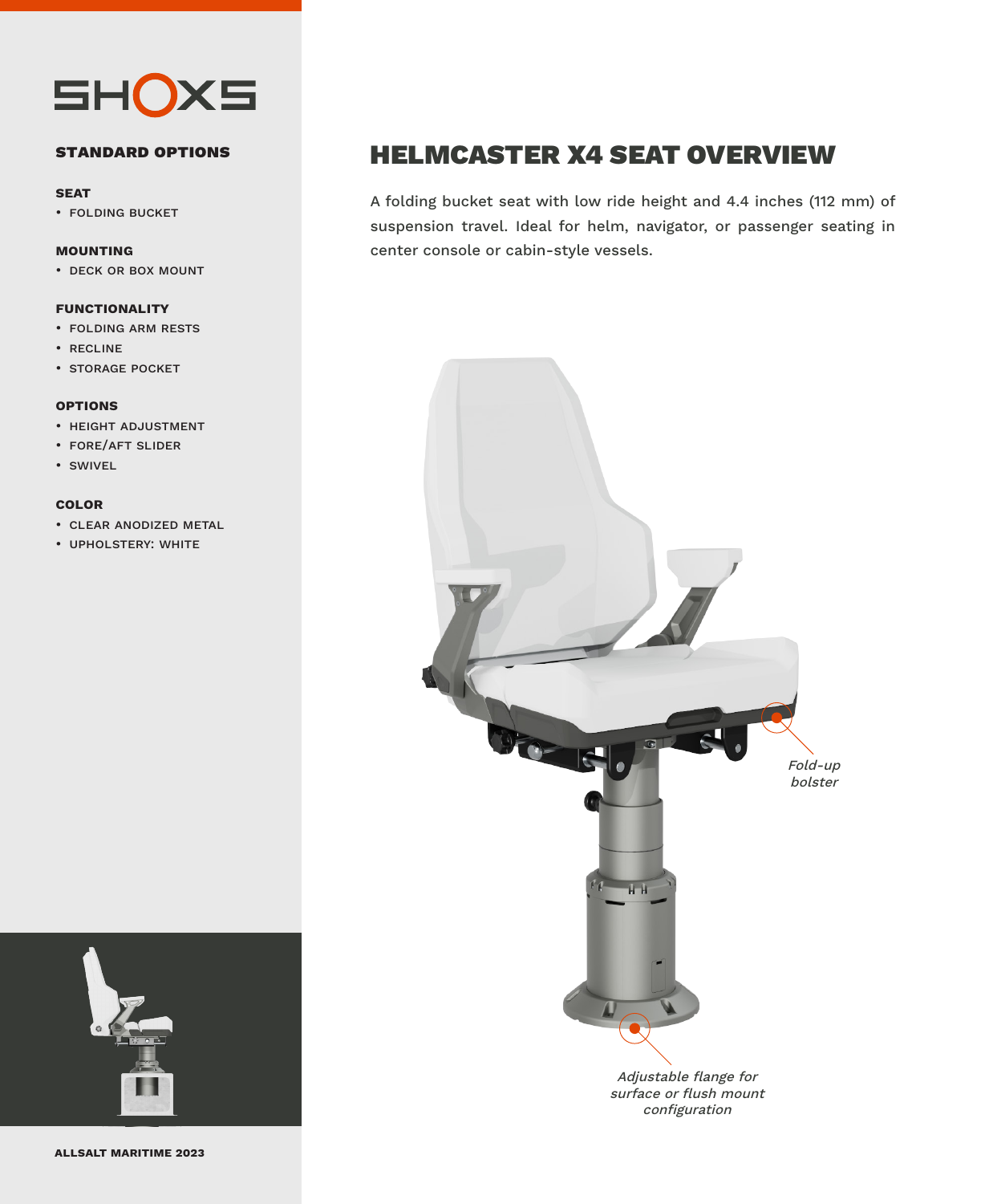

### **standard options**

#### **seat**

• folding bucket

### **mounting**

• deck or box mount

### **functionality**

- folding arm rests
- recline
- storage pocket

### **options**

- height adjustment
- fore/aft slider
- swivel

### **color**

- clear anodized metal
- upholstery: white



**allsalt maritime 2023**

### HELMCASTER X4 SEAT OVERVIEW

A folding bucket seat with low ride height and 4.4 inches (112 mm) of suspension travel. Ideal for helm, navigator, or passenger seating in center console or cabin-style vessels.



configuration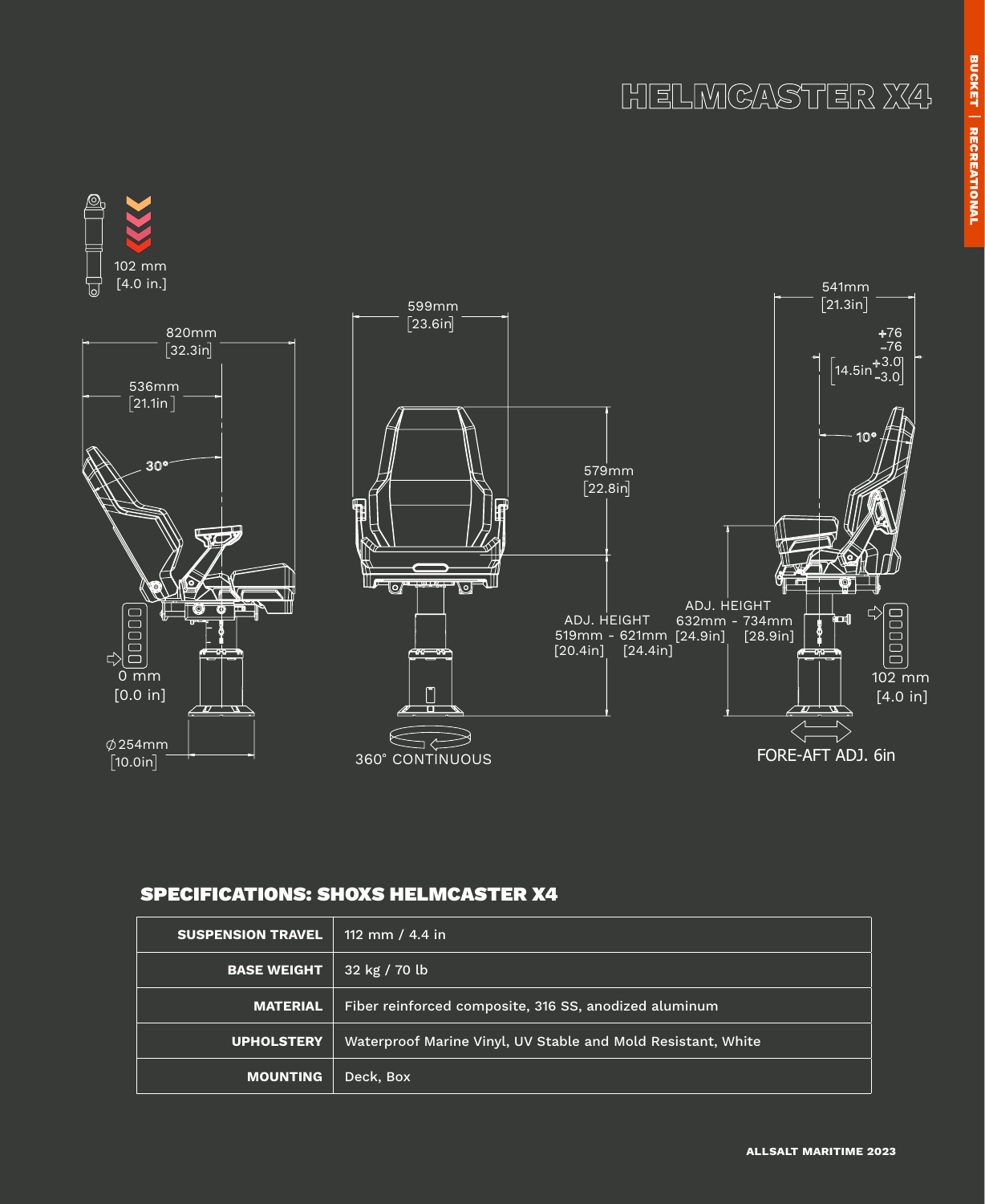# HELMCASTER X4



### SPECIFICATIONS: SHOXS HELMCASTER X4

| <b>SUSPENSION TRAVEL</b> | 112 mm / 4.4 in                                              |  |
|--------------------------|--------------------------------------------------------------|--|
| <b>BASE WEIGHT</b>       | 32 kg / 70 lb                                                |  |
| <b>MATERIAL</b>          | Fiber reinforced composite, 316 SS, anodized aluminum        |  |
| <b>UPHOLSTERY</b>        | Waterproof Marine Vinyl, UV Stable and Mold Resistant, White |  |
| <b>MOUNTING</b>          | Deck, Box                                                    |  |